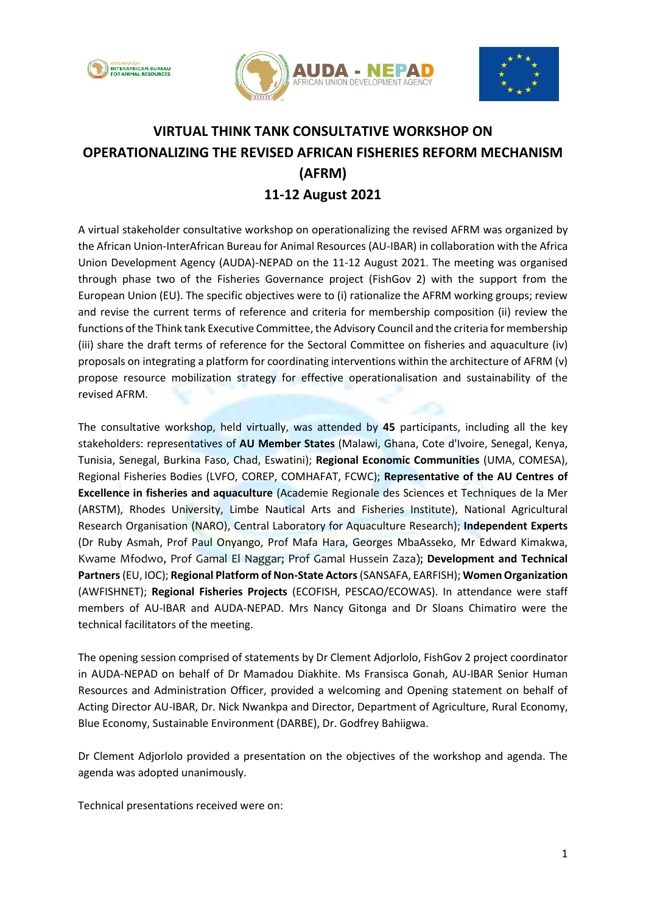





## **VIRTUAL THINK TANK CONSULTATIVE WORKSHOP ON OPERATIONALIZING THE REVISED AFRICAN FISHERIES REFORM MECHANISM (AFRM) 11-12 August 2021**

A virtual stakeholder consultative workshop on operationalizing the revised AFRM was organized by the African Union-InterAfrican Bureau for Animal Resources (AU-IBAR) in collaboration with the Africa Union Development Agency (AUDA)-NEPAD on the 11-12 August 2021. The meeting was organised through phase two of the Fisheries Governance project (FishGov 2) with the support from the European Union (EU). The specific objectives were to (i) rationalize the AFRM working groups; review and revise the current terms of reference and criteria for membership composition (ii) review the functions of the Think tank Executive Committee, the Advisory Council and the criteria for membership (iii) share the draft terms of reference for the Sectoral Committee on fisheries and aquaculture (iv) proposals on integrating a platform for coordinating interventions within the architecture of AFRM (v) propose resource mobilization strategy for effective operationalisation and sustainability of the revised AFRM.

The consultative workshop, held virtually, was attended by **45** participants, including all the key stakeholders: representatives of **AU Member States** (Malawi, Ghana, Cote d'Ivoire, Senegal, Kenya, Tunisia, Senegal, Burkina Faso, Chad, Eswatini); **Regional Economic Communities** (UMA, COMESA), Regional Fisheries Bodies (LVFO, COREP, COMHAFAT, FCWC); **Representative of the AU Centres of Excellence in fisheries and aquaculture** (Academie Regionale des Sciences et Techniques de la Mer (ARSTM), Rhodes University, Limbe Nautical Arts and Fisheries Institute), National Agricultural Research Organisation (NARO), Central Laboratory for Aquaculture Research); **Independent Experts** (Dr Ruby Asmah, Prof Paul Onyango, Prof Mafa Hara, Georges MbaAsseko, Mr Edward Kimakwa, Kwame Mfodwo, Prof Gamal El Naggar; Prof Gamal Hussein Zaza); **Development and Technical Partners**(EU, IOC); **Regional Platform of Non-State Actors**(SANSAFA, EARFISH); **Women Organization** (AWFISHNET); **Regional Fisheries Projects** (ECOFISH, PESCAO/ECOWAS). In attendance were staff members of AU-IBAR and AUDA-NEPAD. Mrs Nancy Gitonga and Dr Sloans Chimatiro were the technical facilitators of the meeting.

The opening session comprised of statements by Dr Clement Adjorlolo, FishGov 2 project coordinator in AUDA-NEPAD on behalf of Dr Mamadou Diakhite. Ms Fransisca Gonah, AU-IBAR Senior Human Resources and Administration Officer, provided a welcoming and Opening statement on behalf of Acting Director AU-IBAR, Dr. Nick Nwankpa and Director, Department of Agriculture, Rural Economy, Blue Economy, Sustainable Environment (DARBE), Dr. Godfrey Bahiigwa.

Dr Clement Adjorlolo provided a presentation on the objectives of the workshop and agenda. The agenda was adopted unanimously.

Technical presentations received were on: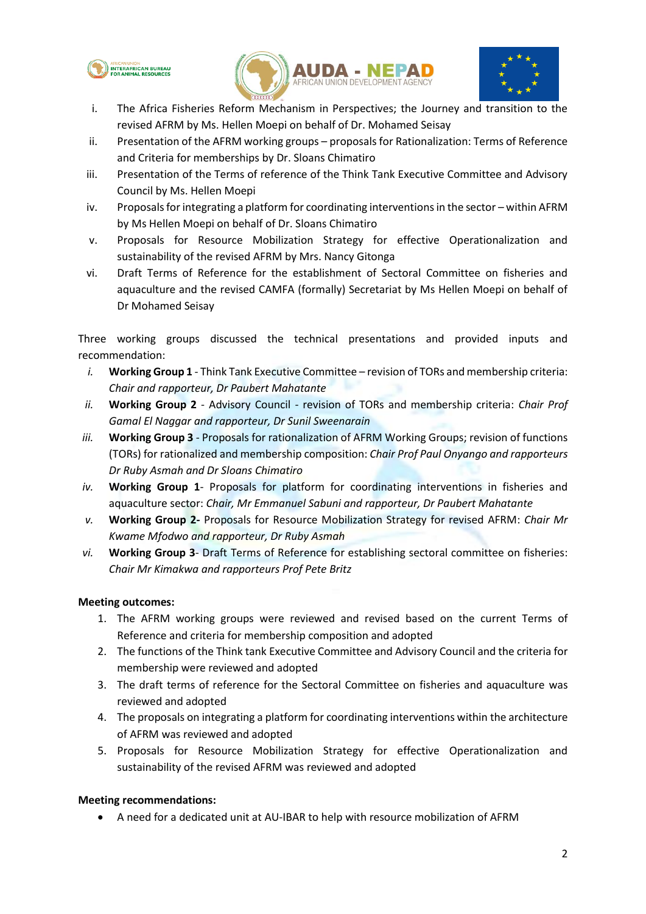





- i. The Africa Fisheries Reform Mechanism in Perspectives; the Journey and transition to the revised AFRM by Ms. Hellen Moepi on behalf of Dr. Mohamed Seisay
- ii. Presentation of the AFRM working groups proposals for Rationalization: Terms of Reference and Criteria for memberships by Dr. Sloans Chimatiro
- iii. Presentation of the Terms of reference of the Think Tank Executive Committee and Advisory Council by Ms. Hellen Moepi
- iv. Proposals for integrating a platform for coordinating interventions in the sector within AFRM by Ms Hellen Moepi on behalf of Dr. Sloans Chimatiro
- v. Proposals for Resource Mobilization Strategy for effective Operationalization and sustainability of the revised AFRM by Mrs. Nancy Gitonga
- vi. Draft Terms of Reference for the establishment of Sectoral Committee on fisheries and aquaculture and the revised CAMFA (formally) Secretariat by Ms Hellen Moepi on behalf of Dr Mohamed Seisay

Three working groups discussed the technical presentations and provided inputs and recommendation:

- *i.* **Working Group 1**  Think Tank Executive Committee revision of TORs and membership criteria: *Chair and rapporteur, Dr Paubert Mahatante*
- *ii.* **Working Group 2** Advisory Council revision of TORs and membership criteria: *Chair Prof Gamal El Naggar and rapporteur, Dr Sunil Sweenarain*
- *iii.* **Working Group 3** Proposals for rationalization of AFRM Working Groups; revision of functions (TORs) for rationalized and membership composition: *Chair Prof Paul Onyango and rapporteurs Dr Ruby Asmah and Dr Sloans Chimatiro*
- *iv.* **Working Group 1** Proposals for platform for coordinating interventions in fisheries and aquaculture sector: *Chair, Mr Emmanuel Sabuni and rapporteur, Dr Paubert Mahatante*
- *v.* **Working Group 2-** Proposals for Resource Mobilization Strategy for revised AFRM: *Chair Mr Kwame Mfodwo and rapporteur, Dr Ruby Asmah*
- *vi.* **Working Group 3** Draft Terms of Reference for establishing sectoral committee on fisheries: *Chair Mr Kimakwa and rapporteurs Prof Pete Britz*

## **Meeting outcomes:**

- 1. The AFRM working groups were reviewed and revised based on the current Terms of Reference and criteria for membership composition and adopted
- 2. The functions of the Think tank Executive Committee and Advisory Council and the criteria for membership were reviewed and adopted
- 3. The draft terms of reference for the Sectoral Committee on fisheries and aquaculture was reviewed and adopted
- 4. The proposals on integrating a platform for coordinating interventions within the architecture of AFRM was reviewed and adopted
- 5. Proposals for Resource Mobilization Strategy for effective Operationalization and sustainability of the revised AFRM was reviewed and adopted

## **Meeting recommendations:**

A need for a dedicated unit at AU-IBAR to help with resource mobilization of AFRM